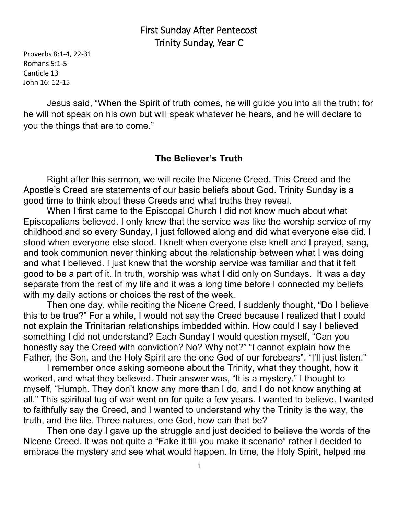## First Sunday After Pentecost Trinity Sunday, Year C

Proverbs 8:1-4, 22-31 Romans 5:1-5 Canticle 13 John 16: 12-15

Jesus said, "When the Spirit of truth comes, he will guide you into all the truth; for he will not speak on his own but will speak whatever he hears, and he will declare to you the things that are to come."

## **The Believer's Truth**

Right after this sermon, we will recite the Nicene Creed. This Creed and the Apostle's Creed are statements of our basic beliefs about God. Trinity Sunday is a good time to think about these Creeds and what truths they reveal.

When I first came to the Episcopal Church I did not know much about what Episcopalians believed. I only knew that the service was like the worship service of my childhood and so every Sunday, I just followed along and did what everyone else did. I stood when everyone else stood. I knelt when everyone else knelt and I prayed, sang, and took communion never thinking about the relationship between what I was doing and what I believed. I just knew that the worship service was familiar and that it felt good to be a part of it. In truth, worship was what I did only on Sundays. It was a day separate from the rest of my life and it was a long time before I connected my beliefs with my daily actions or choices the rest of the week.

Then one day, while reciting the Nicene Creed, I suddenly thought, "Do I believe this to be true?" For a while, I would not say the Creed because I realized that I could not explain the Trinitarian relationships imbedded within. How could I say I believed something I did not understand? Each Sunday I would question myself, "Can you honestly say the Creed with conviction? No? Why not?" "I cannot explain how the Father, the Son, and the Holy Spirit are the one God of our forebears". "I'll just listen."

I remember once asking someone about the Trinity, what they thought, how it worked, and what they believed. Their answer was, "It is a mystery." I thought to myself, "Humph. They don't know any more than I do, and I do not know anything at all." This spiritual tug of war went on for quite a few years. I wanted to believe. I wanted to faithfully say the Creed, and I wanted to understand why the Trinity is the way, the truth, and the life. Three natures, one God, how can that be?

Then one day I gave up the struggle and just decided to believe the words of the Nicene Creed. It was not quite a "Fake it till you make it scenario" rather I decided to embrace the mystery and see what would happen. In time, the Holy Spirit, helped me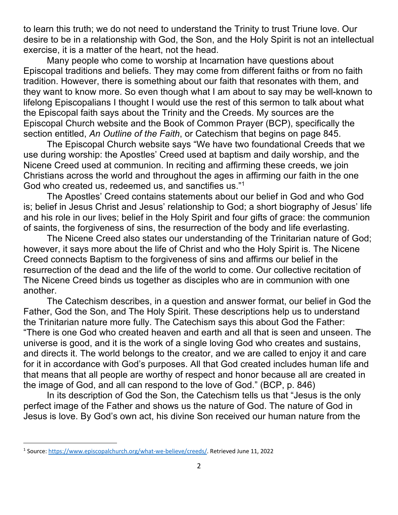to learn this truth; we do not need to understand the Trinity to trust Triune love. Our desire to be in a relationship with God, the Son, and the Holy Spirit is not an intellectual exercise, it is a matter of the heart, not the head.

Many people who come to worship at Incarnation have questions about Episcopal traditions and beliefs. They may come from different faiths or from no faith tradition. However, there is something about our faith that resonates with them, and they want to know more. So even though what I am about to say may be well-known to lifelong Episcopalians I thought I would use the rest of this sermon to talk about what the Episcopal faith says about the Trinity and the Creeds. My sources are the Episcopal Church website and the Book of Common Prayer (BCP), specifically the section entitled, *An Outline of the Faith*, or Catechism that begins on page 845.

The Episcopal Church website says "We have two foundational Creeds that we use during worship: the Apostles' Creed used at baptism and daily worship, and the Nicene Creed used at communion. In reciting and affirming these creeds, we join Christians across the world and throughout the ages in affirming our faith in the one God who created us, redeemed us, and sanctifies us."1

The Apostles' Creed contains statements about our belief in God and who God is; belief in Jesus Christ and Jesus' relationship to God; a short biography of Jesus' life and his role in our lives; belief in the Holy Spirit and four gifts of grace: the communion of saints, the forgiveness of sins, the resurrection of the body and life everlasting.

The Nicene Creed also states our understanding of the Trinitarian nature of God; however, it says more about the life of Christ and who the Holy Spirit is. The Nicene Creed connects Baptism to the forgiveness of sins and affirms our belief in the resurrection of the dead and the life of the world to come. Our collective recitation of The Nicene Creed binds us together as disciples who are in communion with one another.

The Catechism describes, in a question and answer format, our belief in God the Father, God the Son, and The Holy Spirit. These descriptions help us to understand the Trinitarian nature more fully. The Catechism says this about God the Father: "There is one God who created heaven and earth and all that is seen and unseen. The universe is good, and it is the work of a single loving God who creates and sustains, and directs it. The world belongs to the creator, and we are called to enjoy it and care for it in accordance with God's purposes. All that God created includes human life and that means that all people are worthy of respect and honor because all are created in the image of God, and all can respond to the love of God." (BCP, p. 846)

In its description of God the Son, the Catechism tells us that "Jesus is the only perfect image of the Father and shows us the nature of God. The nature of God in Jesus is love. By God's own act, his divine Son received our human nature from the

<sup>1</sup> Source: https://www.episcopalchurch.org/what-we-believe/creeds/. Retrieved June 11, 2022